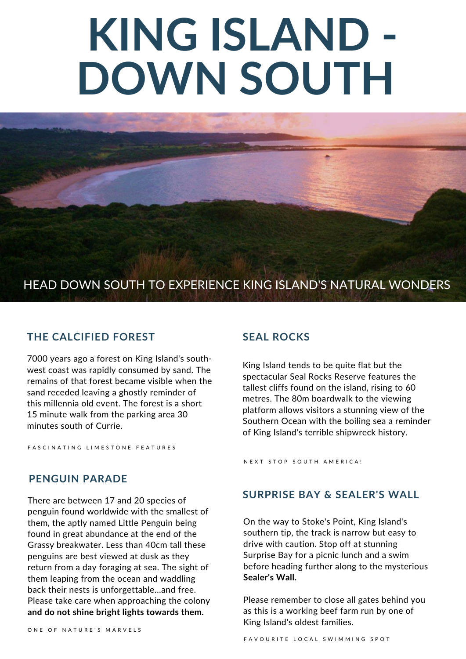# **KING ISLAND - DOWN SOUTH**

## HEAD DOWN SOUTH TO EXPERIENCE KING ISLAND'S NATURAL WONDERS

## **THE CALCIFIED FOREST SEAL ROCKS**

7000 years ago a forest on King Island's southwest coast was rapidly consumed by sand. The remains of that forest became visible when the sand receded leaving a ghostly reminder of this millennia old event. The forest is a short 15 minute walk from the parking area 30 minutes south of Currie.

FASCINATING LIMESTONE FEATURES

### **PENGUIN PARADE**

There are between 17 and 20 species of penguin found worldwide with the smallest of them, the aptly named Little Penguin being found in great abundance at the end of the Grassy breakwater. Less than 40cm tall these penguins are best viewed at dusk as they return from a day foraging at sea. The sight of them leaping from the ocean and waddling back their nests is unforgettable...and free. Please take care when approaching the colony **and do not shine bright lights towards them.**

King Island tends to be quite flat but the spectacular Seal Rocks Reserve features the tallest cliffs found on the island, rising to 60 metres. The 80m boardwalk to the viewing platform allows visitors a stunning view of the Southern Ocean with the boiling sea a reminder of King Island's terrible shipwreck history.

N E X T S T O P S O U T H A M E R I C A !

## **SURPRISE BAY & SEALER'S WALL**

On the way to Stoke's Point, King Island's southern tip, the track is narrow but easy to drive with caution. Stop off at stunning Surprise Bay for a picnic lunch and a swim before heading further along to the mysterious **Sealer's Wall.**

Please remember to close all gates behind you as this is a working beef farm run by one of King Island's oldest families.